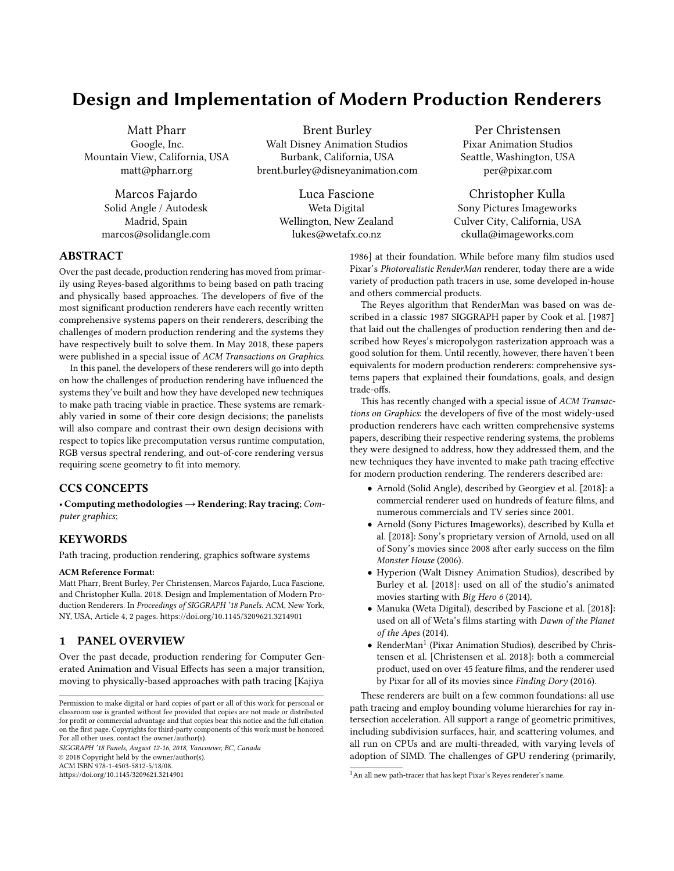# Design and Implementation of Modern Production Renderers

Matt Pharr Google, Inc. Mountain View, California, USA matt@pharr.org

> Marcos Fajardo Solid Angle / Autodesk Madrid, Spain marcos@solidangle.com

Brent Burley Walt Disney Animation Studios Burbank, California, USA brent.burley@disneyanimation.com

> Luca Fascione Weta Digital Wellington, New Zealand lukes@wetafx.co.nz

Per Christensen Pixar Animation Studios Seattle, Washington, USA per@pixar.com

Christopher Kulla Sony Pictures Imageworks Culver City, California, USA ckulla@imageworks.com

## ABSTRACT

Over the past decade, production rendering has moved from primarily using Reyes-based algorithms to being based on path tracing and physically based approaches. The developers of five of the most significant production renderers have each recently written comprehensive systems papers on their renderers, describing the challenges of modern production rendering and the systems they have respectively built to solve them. In May 2018, these papers were published in a special issue of ACM Transactions on Graphics.

In this panel, the developers of these renderers will go into depth on how the challenges of production rendering have influenced the systems they've built and how they have developed new techniques to make path tracing viable in practice. These systems are remarkably varied in some of their core design decisions; the panelists will also compare and contrast their own design decisions with respect to topics like precomputation versus runtime computation, RGB versus spectral rendering, and out-of-core rendering versus requiring scene geometry to fit into memory.

# CCS CONCEPTS

• Computing methodologies  $\rightarrow$  Rendering; Ray tracing; Computer graphics;

### KEYWORDS

Path tracing, production rendering, graphics software systems

#### ACM Reference Format:

Matt Pharr, Brent Burley, Per Christensen, Marcos Fajardo, Luca Fascione, and Christopher Kulla. 2018. Design and Implementation of Modern Production Renderers. In Proceedings of SIGGRAPH '18 Panels. ACM, New York, NY, USA, Article 4, [2](#page-1-0) pages.<https://doi.org/10.1145/3209621.3214901>

# 1 PANEL OVERVIEW

Over the past decade, production rendering for Computer Generated Animation and Visual Effects has seen a major transition, moving to physically-based approaches with path tracing [\[Kajiya](#page-1-1)

SIGGRAPH '18 Panels, August 12-16, 2018, Vancouver, BC, Canada © 2018 Copyright held by the owner/author(s).

ACM ISBN 978-1-4503-5812-5/18/08.

<https://doi.org/10.1145/3209621.3214901>

trade-offs. This has recently changed with a special issue of ACM Transactions on Graphics: the developers of five of the most widely-used production renderers have each written comprehensive systems papers, describing their respective rendering systems, the problems they were designed to address, how they addressed them, and the new techniques they have invented to make path tracing effective for modern production rendering. The renderers described are:

[1986\]](#page-1-1) at their foundation. While before many film studios used Pixar's Photorealistic RenderMan renderer, today there are a wide variety of production path tracers in use, some developed in-house

The Reyes algorithm that RenderMan was based on was described in a classic 1987 SIGGRAPH paper by Cook et al. [\[1987\]](#page-1-2) that laid out the challenges of production rendering then and described how Reyes's micropolygon rasterization approach was a good solution for them. Until recently, however, there haven't been equivalents for modern production renderers: comprehensive systems papers that explained their foundations, goals, and design

and others commercial products.

- Arnold (Solid Angle), described by Georgiev et al. [\[2018\]](#page-1-3): a commercial renderer used on hundreds of feature films, and numerous commercials and TV series since 2001.
- Arnold (Sony Pictures Imageworks), described by Kulla et al. [\[2018\]](#page-1-4): Sony's proprietary version of Arnold, used on all of Sony's movies since 2008 after early success on the film Monster House (2006).
- Hyperion (Walt Disney Animation Studios), described by Burley et al. [\[2018\]](#page-1-5): used on all of the studio's animated movies starting with Big Hero 6 (2014).
- Manuka (Weta Digital), described by Fascione et al. [\[2018\]](#page-1-6): used on all of Weta's films starting with Dawn of the Planet of the Apes (2014).
- RenderMan<sup>[1](#page-0-0)</sup> (Pixar Animation Studios), described by Christensen et al. [\[Christensen et al.](#page-1-7) [2018\]](#page-1-7): both a commercial product, used on over 45 feature films, and the renderer used by Pixar for all of its movies since Finding Dory (2016).

These renderers are built on a few common foundations: all use path tracing and employ bounding volume hierarchies for ray intersection acceleration. All support a range of geometric primitives, including subdivision surfaces, hair, and scattering volumes, and all run on CPUs and are multi-threaded, with varying levels of adoption of SIMD. The challenges of GPU rendering (primarily,

Permission to make digital or hard copies of part or all of this work for personal or classroom use is granted without fee provided that copies are not made or distributed for profit or commercial advantage and that copies bear this notice and the full citation on the first page. Copyrights for third-party components of this work must be honored. For all other uses, contact the owner/author(s).

<span id="page-0-0"></span><sup>&</sup>lt;sup>1</sup> An all new path-tracer that has kept Pixar's Reyes renderer's name.